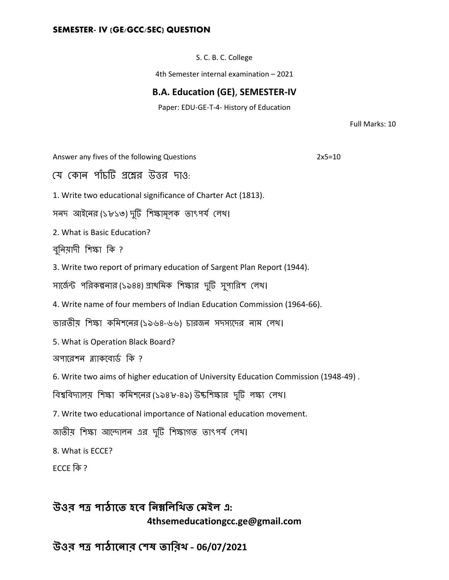#### **SEMESTER- IV (GE/GCC/SEC) QUESTION**

S. C. B. C. College

4th Semester internal examination – 2021

### **B.A. Education (GE)**, **SEMESTER-IV**

Paper: EDU-GE-T-4- History of Education

Full Marks: 10

Answer any fives of the following Questions 2x5=10

যে কোন পাঁচটি প্রশ্নের উত্তর দাও:

1. Write two educational significance of Charter Act (1813).

সনদ আইনের (১৮১৩) দুটি শিক্ষামূলক তাৎপর্য লেখ।

2. What is Basic Education?

বুনিয়াদী শিক্ষা কি ?

3. Write two report of primary education of Sargent Plan Report (1944).

সার্জেন্ট পরিকল্পনার (১৯৪৪) প্রাথমিক শিক্ষার দুটি সুপারিশ লেখ।

4. Write name of four members of Indian Education Commission (1964-66).

ভারতীয় শিক্ষা কমিশনের(১৯৬৪-৬৬) চারজন সদস্যদের নাম লেখ।

5. What is Operation Black Board?

অপারেশন ব্ল্যাকবোর্ড কি ?

6. Write two aims of higher education of University Education Commission (1948-49) .

বিশ্ববিদ্যালয় শিক্ষা কমিশনের (১৯৪৮-৪৯) উচ্চশিক্ষার দুটি লক্ষ্য লেখ।

7. Write two educational importance of National education movement.

জাতীয় শিক্ষা আন্দোলন এর দুটি শিক্ষাগত তাৎপর্য লেখ।

8. What is ECCE?

ECCE কি?

# **উওর পত্র পাঠাতে হতে নিম্ননিনিে মেইি এ: 4thsemeducationgcc.ge@gmail.com**

**উওর পত্র পাঠাতিার মেষ োনরি – 06/07/2021**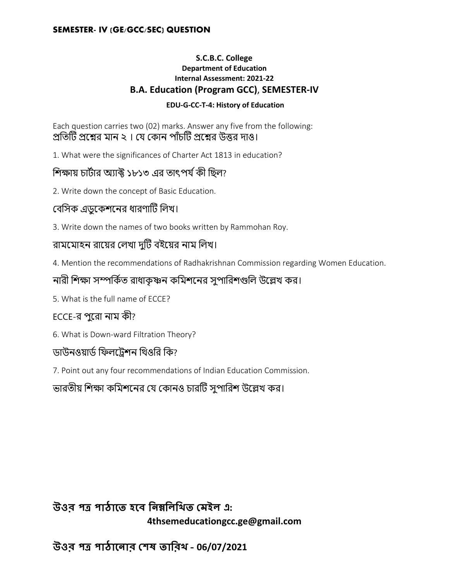#### **SEMESTER- IV (GE/GCC/SEC) QUESTION**

#### **S.C.B.C. College Department of Education Internal Assessment: 2021-22 B.A. Education (Program GCC)**, **SEMESTER-IV**

#### **EDU-G-CC-T-4: History of Education**

Each question carries two (02) marks. Answer any five from the following: প্রতিটি প্রশ্নের মান ২। যে কোন পাঁচটি প্রশ্নের উত্তর দাও।

1. What were the significances of Charter Act 1813 in education?

### শিক্ষায় চার্টার অ্যাক্ট ১৮১৩ এর তাৎপর্য কী ছিল?

2. Write down the concept of Basic Education.

### বেসিক এডুকেশনের ধারণাটি লিখ।

3. Write down the names of two books written by Rammohan Roy.

## রামমোহন রায়ের লেখা দুটি বইয়ের নাম লিখ।

4. Mention the recommendations of Radhakrishnan Commission regarding Women Education.

# নারী শিক্ষা সম্পর্কিত রাধাকৃষ্ণন কমিশনের সুপারিশগুলি উল্লেখ কর।

5. What is the full name of ECCE?

## ECCE-র পরো নাম কী?

6. What is Down-ward Filtration Theory?

### ডাউনওয়ার্ড ফিলট্রেশন থিওরি কি?

7. Point out any four recommendations of Indian Education Commission.

ভারতীয় শিক্ষা কমিশনের যে কোনও চারটি সুপারিশ উল্লেখ কর।

**উওর পত্র পাঠাতে হতে নিম্ননিনিে মেইি এ: 4thsemeducationgcc.ge@gmail.com**

**উওর পত্র পাঠাতিার মেষ োনরি – 06/07/2021**